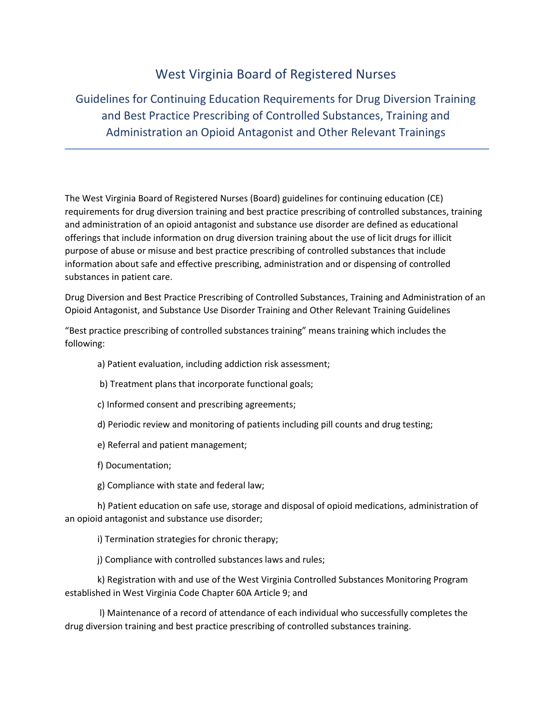## West Virginia Board of Registered Nurses

Guidelines for Continuing Education Requirements for Drug Diversion Training and Best Practice Prescribing of Controlled Substances, Training and Administration an Opioid Antagonist and Other Relevant Trainings

The West Virginia Board of Registered Nurses (Board) guidelines for continuing education (CE) requirements for drug diversion training and best practice prescribing of controlled substances, training and administration of an opioid antagonist and substance use disorder are defined as educational offerings that include information on drug diversion training about the use of licit drugs for illicit purpose of abuse or misuse and best practice prescribing of controlled substances that include information about safe and effective prescribing, administration and or dispensing of controlled substances in patient care.

Drug Diversion and Best Practice Prescribing of Controlled Substances, Training and Administration of an Opioid Antagonist, and Substance Use Disorder Training and Other Relevant Training Guidelines

"Best practice prescribing of controlled substances training" means training which includes the following:

a) Patient evaluation, including addiction risk assessment;

- b) Treatment plans that incorporate functional goals;
- c) Informed consent and prescribing agreements;
- d) Periodic review and monitoring of patients including pill counts and drug testing;
- e) Referral and patient management;
- f) Documentation;
- g) Compliance with state and federal law;

h) Patient education on safe use, storage and disposal of opioid medications, administration of an opioid antagonist and substance use disorder;

i) Termination strategies for chronic therapy;

j) Compliance with controlled substances laws and rules;

k) Registration with and use of the West Virginia Controlled Substances Monitoring Program established in West Virginia Code Chapter 60A Article 9; and

l) Maintenance of a record of attendance of each individual who successfully completes the drug diversion training and best practice prescribing of controlled substances training.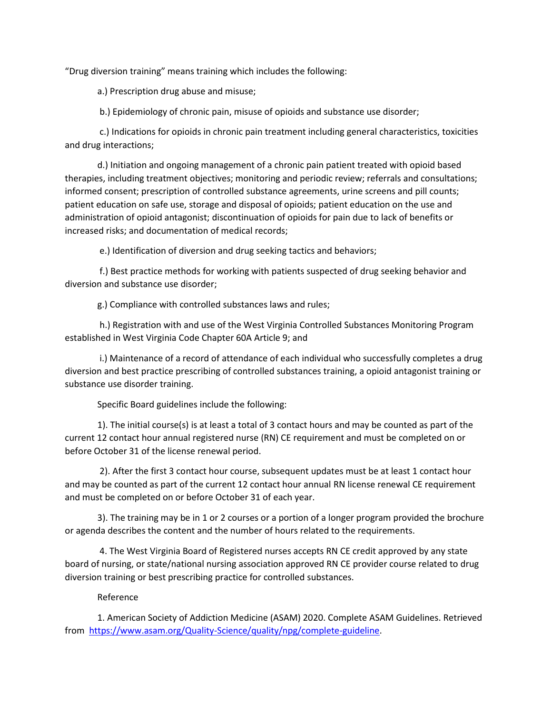"Drug diversion training" means training which includes the following:

a.) Prescription drug abuse and misuse;

b.) Epidemiology of chronic pain, misuse of opioids and substance use disorder;

c.) Indications for opioids in chronic pain treatment including general characteristics, toxicities and drug interactions;

d.) Initiation and ongoing management of a chronic pain patient treated with opioid based therapies, including treatment objectives; monitoring and periodic review; referrals and consultations; informed consent; prescription of controlled substance agreements, urine screens and pill counts; patient education on safe use, storage and disposal of opioids; patient education on the use and administration of opioid antagonist; discontinuation of opioids for pain due to lack of benefits or increased risks; and documentation of medical records;

e.) Identification of diversion and drug seeking tactics and behaviors;

f.) Best practice methods for working with patients suspected of drug seeking behavior and diversion and substance use disorder;

g.) Compliance with controlled substances laws and rules;

h.) Registration with and use of the West Virginia Controlled Substances Monitoring Program established in West Virginia Code Chapter 60A Article 9; and

i.) Maintenance of a record of attendance of each individual who successfully completes a drug diversion and best practice prescribing of controlled substances training, a opioid antagonist training or substance use disorder training.

Specific Board guidelines include the following:

1). The initial course(s) is at least a total of 3 contact hours and may be counted as part of the current 12 contact hour annual registered nurse (RN) CE requirement and must be completed on or before October 31 of the license renewal period.

2). After the first 3 contact hour course, subsequent updates must be at least 1 contact hour and may be counted as part of the current 12 contact hour annual RN license renewal CE requirement and must be completed on or before October 31 of each year.

3). The training may be in 1 or 2 courses or a portion of a longer program provided the brochure or agenda describes the content and the number of hours related to the requirements.

4. The West Virginia Board of Registered nurses accepts RN CE credit approved by any state board of nursing, or state/national nursing association approved RN CE provider course related to drug diversion training or best prescribing practice for controlled substances.

## Reference

1. American Society of Addiction Medicine (ASAM) 2020. Complete ASAM Guidelines. Retrieved from [https://www.asam.org/Quality-Science/quality/npg/complete-guideline.](https://www.asam.org/Quality-Science/quality/npg/complete-guideline)